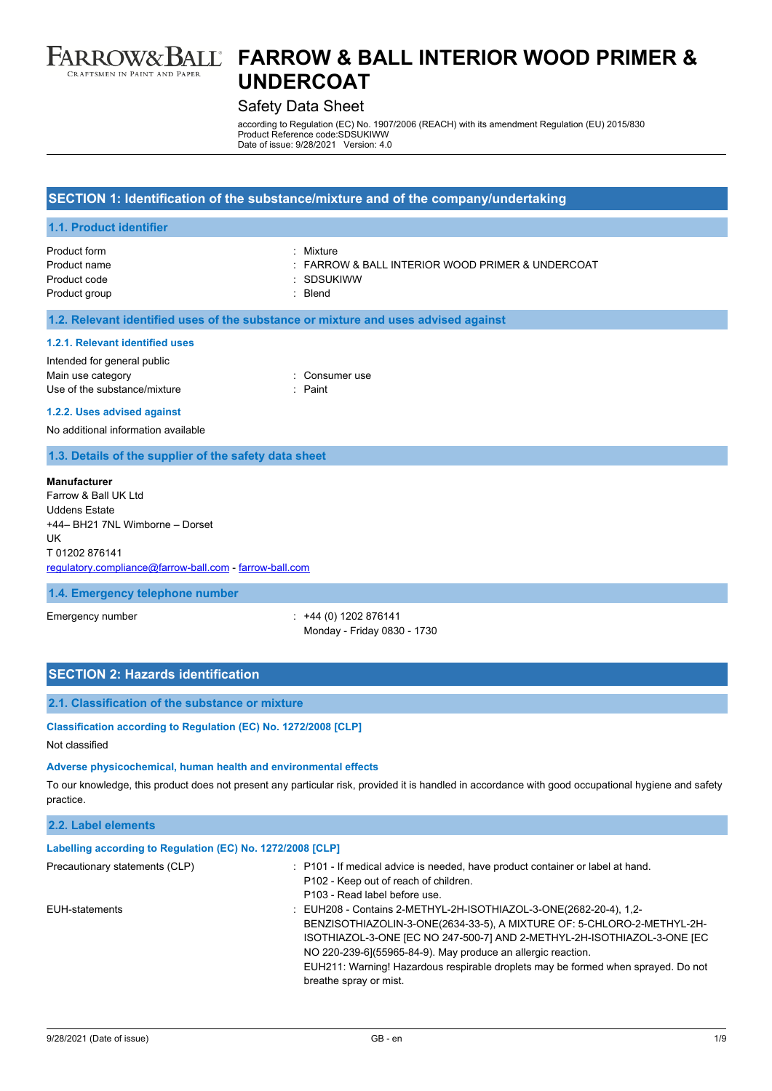

# Safety Data Sheet

according to Regulation (EC) No. 1907/2006 (REACH) with its amendment Regulation (EU) 2015/830 Product Reference code:SDSUKIWW Date of issue: 9/28/2021 Version: 4.0

| SECTION 1: Identification of the substance/mixture and of the company/undertaking                                                                                                       |                                                                                      |  |
|-----------------------------------------------------------------------------------------------------------------------------------------------------------------------------------------|--------------------------------------------------------------------------------------|--|
| 1.1. Product identifier                                                                                                                                                                 |                                                                                      |  |
| Product form<br>Product name<br>Product code<br>Product group                                                                                                                           | : Mixture<br>FARROW & BALL INTERIOR WOOD PRIMER & UNDERCOAT<br>: SDSUKIWW<br>: Blend |  |
|                                                                                                                                                                                         | 1.2. Relevant identified uses of the substance or mixture and uses advised against   |  |
| 1.2.1. Relevant identified uses<br>Intended for general public<br>Main use category<br>Use of the substance/mixture<br>1.2.2. Uses advised against                                      | : Consumer use<br>: Paint                                                            |  |
| No additional information available                                                                                                                                                     |                                                                                      |  |
| 1.3. Details of the supplier of the safety data sheet                                                                                                                                   |                                                                                      |  |
| <b>Manufacturer</b><br>Farrow & Ball UK Ltd<br><b>Uddens Estate</b><br>+44- BH21 7NL Wimborne - Dorset<br>UK<br>T01202876141<br>regulatory.compliance@farrow-ball.com - farrow-ball.com |                                                                                      |  |
| 1.4. Emergency telephone number                                                                                                                                                         |                                                                                      |  |
| Emergency number                                                                                                                                                                        | $: +44(0)1202876141$<br>Monday - Friday 0830 - 1730                                  |  |
| <b>OFOTIONI O. Illegards Islandification</b>                                                                                                                                            |                                                                                      |  |

### **SECTION 2: Hazards identification**

# **2.1. Classification of the substance or mixture**

**Classification according to Regulation (EC) No. 1272/2008 [CLP]**

#### Not classified

#### **Adverse physicochemical, human health and environmental effects**

To our knowledge, this product does not present any particular risk, provided it is handled in accordance with good occupational hygiene and safety practice.

| 2.2. Label elements                                        |                                                                                                                                                                                                                                                                                                                                                                                                       |
|------------------------------------------------------------|-------------------------------------------------------------------------------------------------------------------------------------------------------------------------------------------------------------------------------------------------------------------------------------------------------------------------------------------------------------------------------------------------------|
| Labelling according to Regulation (EC) No. 1272/2008 [CLP] |                                                                                                                                                                                                                                                                                                                                                                                                       |
| Precautionary statements (CLP)                             | : P101 - If medical advice is needed, have product container or label at hand.<br>P102 - Keep out of reach of children.<br>P103 - Read label before use.                                                                                                                                                                                                                                              |
| EUH-statements                                             | : EUH208 - Contains 2-METHYL-2H-ISOTHIAZOL-3-ONE(2682-20-4), 1,2-<br>BENZISOTHIAZOLIN-3-ONE(2634-33-5), A MIXTURE OF: 5-CHLORO-2-METHYL-2H-<br>ISOTHIAZOL-3-ONE JEC NO 247-500-7] AND 2-METHYL-2H-ISOTHIAZOL-3-ONE JEC<br>NO 220-239-6](55965-84-9). May produce an allergic reaction.<br>EUH211: Warning! Hazardous respirable droplets may be formed when sprayed. Do not<br>breathe spray or mist. |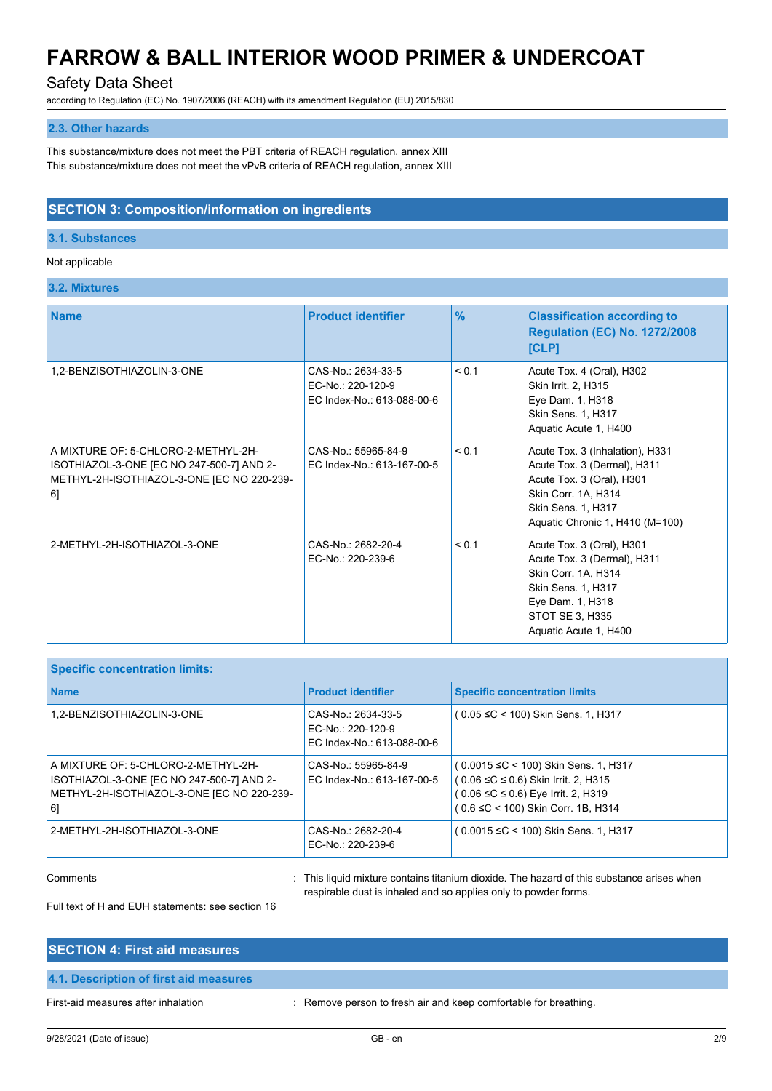# Safety Data Sheet

according to Regulation (EC) No. 1907/2006 (REACH) with its amendment Regulation (EU) 2015/830

### **2.3. Other hazards**

This substance/mixture does not meet the PBT criteria of REACH regulation, annex XIII This substance/mixture does not meet the vPvB criteria of REACH regulation, annex XIII

### **SECTION 3: Composition/information on ingredients**

#### **3.1. Substances**

#### Not applicable

**3.2. Mixtures**

| <b>Name</b>                                                                                                                          | <b>Product identifier</b>                                             | $\frac{9}{6}$ | <b>Classification according to</b><br><b>Regulation (EC) No. 1272/2008</b><br>[CLP]                                                                                         |
|--------------------------------------------------------------------------------------------------------------------------------------|-----------------------------------------------------------------------|---------------|-----------------------------------------------------------------------------------------------------------------------------------------------------------------------------|
| 1,2-BENZISOTHIAZOLIN-3-ONE                                                                                                           | CAS-No.: 2634-33-5<br>EC-No.: 220-120-9<br>EC Index-No.: 613-088-00-6 | < 0.1         | Acute Tox. 4 (Oral), H302<br>Skin Irrit. 2, H315<br>Eye Dam. 1, H318<br>Skin Sens. 1, H317<br>Aquatic Acute 1, H400                                                         |
| A MIXTURE OF: 5-CHLORO-2-METHYL-2H-<br>ISOTHIAZOL-3-ONE [EC NO 247-500-7] AND 2-<br>METHYL-2H-ISOTHIAZOL-3-ONE [EC NO 220-239-<br>6] | CAS-No.: 55965-84-9<br>EC Index-No.: 613-167-00-5                     | < 0.1         | Acute Tox. 3 (Inhalation), H331<br>Acute Tox. 3 (Dermal), H311<br>Acute Tox. 3 (Oral), H301<br>Skin Corr. 1A, H314<br>Skin Sens. 1, H317<br>Aquatic Chronic 1, H410 (M=100) |
| 2-METHYL-2H-ISOTHIAZOL-3-ONE                                                                                                         | CAS-No.: 2682-20-4<br>EC-No.: 220-239-6                               | < 0.1         | Acute Tox. 3 (Oral), H301<br>Acute Tox. 3 (Dermal), H311<br>Skin Corr. 1A, H314<br>Skin Sens. 1, H317<br>Eye Dam. 1, H318<br>STOT SE 3, H335<br>Aquatic Acute 1, H400       |

| <b>Specific concentration limits:</b>                                                                                                |                                                                       |                                                                                                                                                          |
|--------------------------------------------------------------------------------------------------------------------------------------|-----------------------------------------------------------------------|----------------------------------------------------------------------------------------------------------------------------------------------------------|
| <b>Name</b>                                                                                                                          | <b>Product identifier</b>                                             | <b>Specific concentration limits</b>                                                                                                                     |
| 1,2-BENZISOTHIAZOLIN-3-ONE                                                                                                           | CAS-No.: 2634-33-5<br>EC-No.: 220-120-9<br>EC Index-No.: 613-088-00-6 | ( 0.05 ≤C < 100) Skin Sens. 1, H317                                                                                                                      |
| A MIXTURE OF: 5-CHLORO-2-METHYL-2H-<br>ISOTHIAZOL-3-ONE [EC NO 247-500-7] AND 2-<br>METHYL-2H-ISOTHIAZOL-3-ONE [EC NO 220-239-<br>61 | CAS-No.: 55965-84-9<br>EC Index-No.: 613-167-00-5                     | (0.0015 ≤C < 100) Skin Sens. 1, H317<br>(0.06 ≤C ≤ 0.6) Skin Irrit. 2, H315<br>(0.06 ≤C ≤ 0.6) Eye Irrit. 2, H319<br>( 0.6 ≤C < 100) Skin Corr. 1B, H314 |
| 2-METHYL-2H-ISOTHIAZOL-3-ONE                                                                                                         | CAS-No.: 2682-20-4<br>EC-No.: 220-239-6                               | ( 0.0015 ≤C < 100) Skin Sens. 1, H317                                                                                                                    |

Comments **Example 20 Comments** : This liquid mixture contains titanium dioxide. The hazard of this substance arises when respirable dust is inhaled and so applies only to powder forms.

Full text of H and EUH statements: see section 16

#### **SECTION 4: First aid measures**

#### **4.1. Description of first aid measures**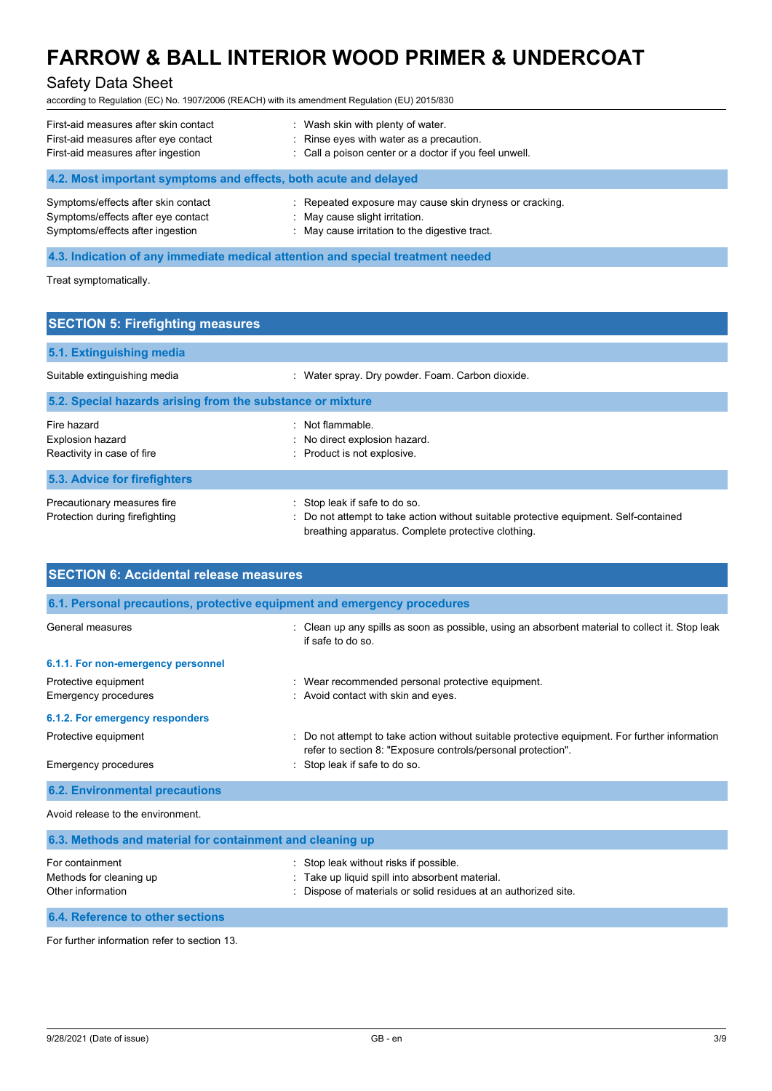# Safety Data Sheet

according to Regulation (EC) No. 1907/2006 (REACH) with its amendment Regulation (EU) 2015/830

| First-aid measures after skin contact                            | : Wash skin with plenty of water.                       |
|------------------------------------------------------------------|---------------------------------------------------------|
| First-aid measures after eye contact                             | : Rinse eyes with water as a precaution.                |
| First-aid measures after ingestion                               | : Call a poison center or a doctor if you feel unwell.  |
| 4.2. Most important symptoms and effects, both acute and delayed |                                                         |
| Symptoms/effects after skin contact                              | : Repeated exposure may cause skin dryness or cracking. |
| Symptoms/effects after eye contact                               | May cause slight irritation.                            |
| Symptoms/effects after ingestion                                 | : May cause irritation to the digestive tract.          |

# **4.3. Indication of any immediate medical attention and special treatment needed**

Treat symptomatically.

| <b>SECTION 5: Firefighting measures</b>                              |                                                                                                                                                                              |  |
|----------------------------------------------------------------------|------------------------------------------------------------------------------------------------------------------------------------------------------------------------------|--|
| 5.1. Extinguishing media                                             |                                                                                                                                                                              |  |
| Suitable extinguishing media                                         | : Water spray. Dry powder. Foam. Carbon dioxide.                                                                                                                             |  |
| 5.2. Special hazards arising from the substance or mixture           |                                                                                                                                                                              |  |
| Fire hazard<br><b>Explosion hazard</b><br>Reactivity in case of fire | : Not flammable.<br>: No direct explosion hazard.<br>: Product is not explosive.                                                                                             |  |
| 5.3. Advice for firefighters                                         |                                                                                                                                                                              |  |
| Precautionary measures fire<br>Protection during firefighting        | : Stop leak if safe to do so.<br>: Do not attempt to take action without suitable protective equipment. Self-contained<br>breathing apparatus. Complete protective clothing. |  |

| <b>SECTION 6: Accidental release measures</b>                            |                                                                                                                                                                |  |
|--------------------------------------------------------------------------|----------------------------------------------------------------------------------------------------------------------------------------------------------------|--|
| 6.1. Personal precautions, protective equipment and emergency procedures |                                                                                                                                                                |  |
| General measures                                                         | : Clean up any spills as soon as possible, using an absorbent material to collect it. Stop leak<br>if safe to do so                                            |  |
| 6.1.1. For non-emergency personnel                                       |                                                                                                                                                                |  |
| Protective equipment<br>Emergency procedures                             | : Wear recommended personal protective equipment.<br>: Avoid contact with skin and eyes.                                                                       |  |
| 6.1.2. For emergency responders                                          |                                                                                                                                                                |  |
| Protective equipment                                                     | : Do not attempt to take action without suitable protective equipment. For further information<br>refer to section 8: "Exposure controls/personal protection". |  |
| Emergency procedures                                                     | : Stop leak if safe to do so.                                                                                                                                  |  |
| <b>6.2. Environmental precautions</b>                                    |                                                                                                                                                                |  |
| Avoid release to the environment.                                        |                                                                                                                                                                |  |

| 6.3. Methods and material for containment and cleaning up       |                                                                                                                                                              |  |
|-----------------------------------------------------------------|--------------------------------------------------------------------------------------------------------------------------------------------------------------|--|
| For containment<br>Methods for cleaning up<br>Other information | : Stop leak without risks if possible.<br>: Take up liquid spill into absorbent material.<br>: Dispose of materials or solid residues at an authorized site. |  |
| 6.4. Reference to other sections                                |                                                                                                                                                              |  |

For further information refer to section 13.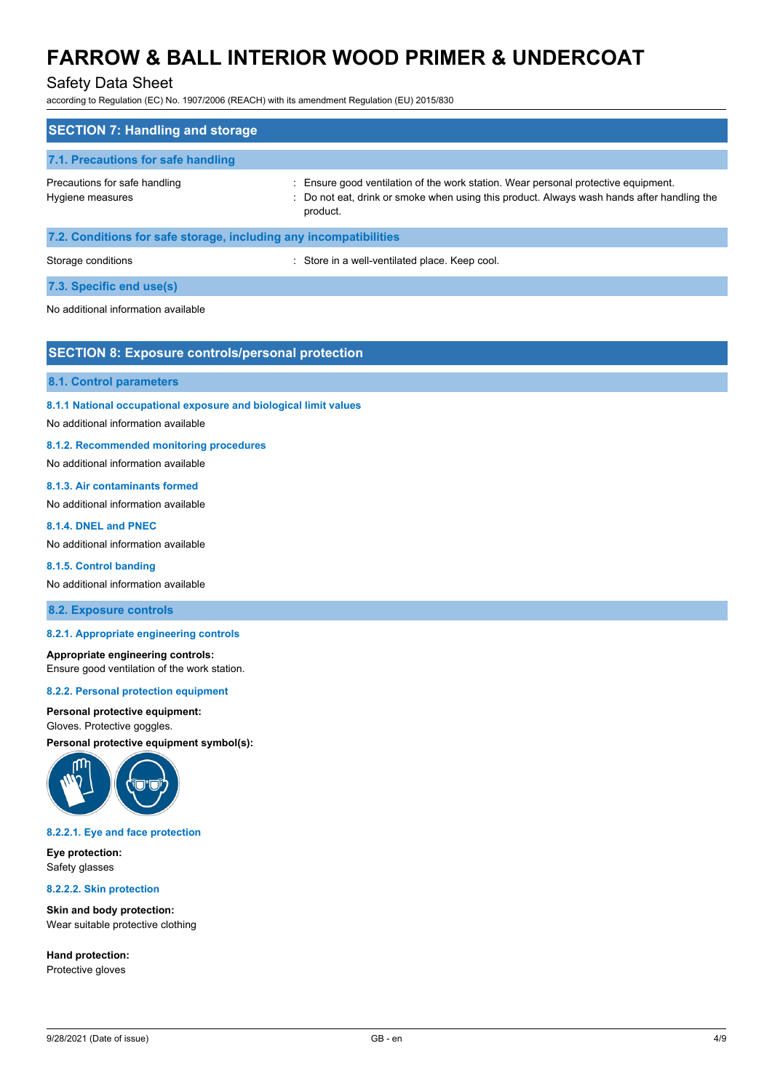### Safety Data Sheet

according to Regulation (EC) No. 1907/2006 (REACH) with its amendment Regulation (EU) 2015/830

| <b>SECTION 7: Handling and storage</b>                            |                                                                                                                                                                                              |
|-------------------------------------------------------------------|----------------------------------------------------------------------------------------------------------------------------------------------------------------------------------------------|
| 7.1. Precautions for safe handling                                |                                                                                                                                                                                              |
| Precautions for safe handling<br>Hygiene measures                 | : Ensure good ventilation of the work station. Wear personal protective equipment.<br>: Do not eat, drink or smoke when using this product. Always wash hands after handling the<br>product. |
| 7.2. Conditions for safe storage, including any incompatibilities |                                                                                                                                                                                              |
| Storage conditions                                                | Store in a well-ventilated place. Keep cool.                                                                                                                                                 |

### **7.3. Specific end use(s)**

No additional information available

### **SECTION 8: Exposure controls/personal protection**

#### **8.1. Control parameters**

**8.1.1 National occupational exposure and biological limit values**

No additional information available

#### **8.1.2. Recommended monitoring procedures**

No additional information available

#### **8.1.3. Air contaminants formed**

No additional information available

#### **8.1.4. DNEL and PNEC**

No additional information available

#### **8.1.5. Control banding**

No additional information available

#### **8.2. Exposure controls**

#### **8.2.1. Appropriate engineering controls**

#### **Appropriate engineering controls:** Ensure good ventilation of the work station.

#### **8.2.2. Personal protection equipment**

#### **Personal protective equipment:**

#### Gloves. Protective goggles.

**Personal protective equipment symbol(s):**



#### **8.2.2.1. Eye and face protection**

**Eye protection:** Safety glasses

**8.2.2.2. Skin protection**

**Skin and body protection:** Wear suitable protective clothing

**Hand protection:** Protective gloves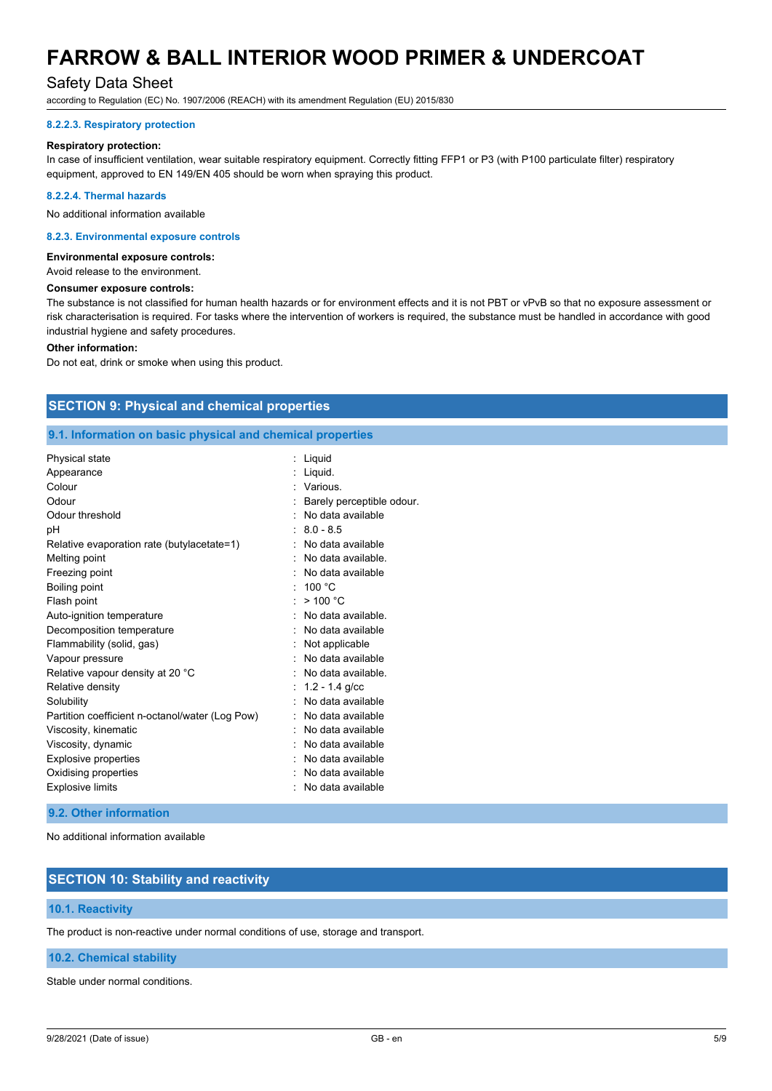# Safety Data Sheet

according to Regulation (EC) No. 1907/2006 (REACH) with its amendment Regulation (EU) 2015/830

#### **8.2.2.3. Respiratory protection**

#### **Respiratory protection:**

In case of insufficient ventilation, wear suitable respiratory equipment. Correctly fitting FFP1 or P3 (with P100 particulate filter) respiratory equipment, approved to EN 149/EN 405 should be worn when spraying this product.

#### **8.2.2.4. Thermal hazards**

No additional information available

#### **8.2.3. Environmental exposure controls**

#### **Environmental exposure controls:**

Avoid release to the environment.

#### **Consumer exposure controls:**

The substance is not classified for human health hazards or for environment effects and it is not PBT or vPvB so that no exposure assessment or risk characterisation is required. For tasks where the intervention of workers is required, the substance must be handled in accordance with good industrial hygiene and safety procedures.

#### **Other information:**

Do not eat, drink or smoke when using this product.

### **SECTION 9: Physical and chemical properties**

#### **9.1. Information on basic physical and chemical properties**

| Physical state                                  | Liquid                    |
|-------------------------------------------------|---------------------------|
| Appearance                                      | Liquid.                   |
| Colour                                          | : Various.                |
| Odour                                           | Barely perceptible odour. |
| Odour threshold                                 | No data available         |
| рH                                              | $: 8.0 - 8.5$             |
| Relative evaporation rate (butylacetate=1)      | No data available         |
| Melting point                                   | No data available.        |
| Freezing point                                  | No data available         |
| Boiling point                                   | : 100 °C                  |
| Flash point                                     | >100 °C                   |
| Auto-ignition temperature                       | No data available         |
| Decomposition temperature                       | No data available         |
| Flammability (solid, gas)                       | Not applicable            |
| Vapour pressure                                 | No data available         |
| Relative vapour density at 20 °C                | No data available.        |
| Relative density                                | $: 1.2 - 1.4$ g/cc        |
| Solubility                                      | No data available         |
| Partition coefficient n-octanol/water (Log Pow) | No data available         |
| Viscosity, kinematic                            | No data available         |
| Viscosity, dynamic                              | No data available         |
| <b>Explosive properties</b>                     | No data available         |
| Oxidising properties                            | No data available         |
| <b>Explosive limits</b>                         | No data available         |

#### **9.2. Other information**

No additional information available

### **SECTION 10: Stability and reactivity**

#### **10.1. Reactivity**

The product is non-reactive under normal conditions of use, storage and transport.

#### **10.2. Chemical stability**

Stable under normal conditions.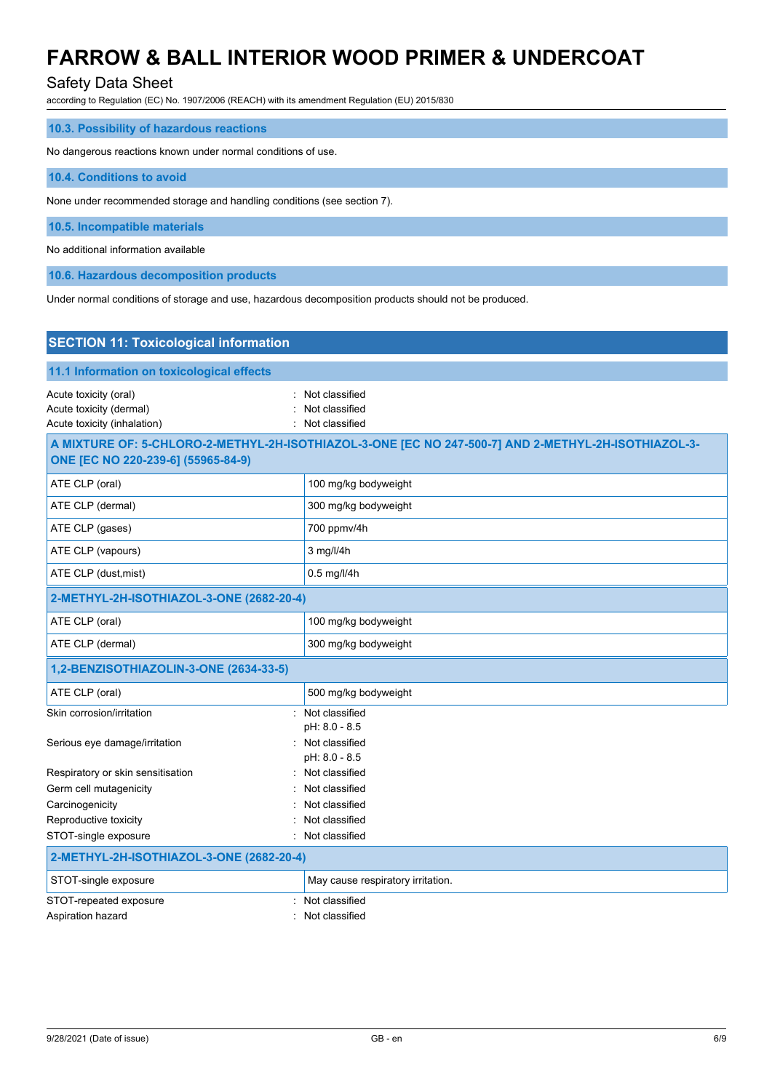# Safety Data Sheet

according to Regulation (EC) No. 1907/2006 (REACH) with its amendment Regulation (EU) 2015/830

| 10.3. Possibility of hazardous reactions                                |  |
|-------------------------------------------------------------------------|--|
| No dangerous reactions known under normal conditions of use.            |  |
| 10.4. Conditions to avoid                                               |  |
| None under recommended storage and handling conditions (see section 7). |  |
| 10.5. Incompatible materials                                            |  |
| No additional information available                                     |  |
| 10.6. Hazardous decomposition products                                  |  |

Under normal conditions of storage and use, hazardous decomposition products should not be produced.

| <b>SECTION 11: Toxicological information</b>                                    |                                                                                                     |
|---------------------------------------------------------------------------------|-----------------------------------------------------------------------------------------------------|
| 11.1 Information on toxicological effects                                       |                                                                                                     |
| Acute toxicity (oral)<br>Acute toxicity (dermal)<br>Acute toxicity (inhalation) | Not classified<br>Not classified<br>Not classified                                                  |
| ONE [EC NO 220-239-6] (55965-84-9)                                              | A MIXTURE OF: 5-CHLORO-2-METHYL-2H-ISOTHIAZOL-3-ONE [EC NO 247-500-7] AND 2-METHYL-2H-ISOTHIAZOL-3- |
| ATE CLP (oral)                                                                  | 100 mg/kg bodyweight                                                                                |
| ATE CLP (dermal)                                                                | 300 mg/kg bodyweight                                                                                |
| ATE CLP (gases)                                                                 | 700 ppmv/4h                                                                                         |
| ATE CLP (vapours)                                                               | 3 mg/l/4h                                                                                           |
| ATE CLP (dust, mist)                                                            | 0.5 mg/l/4h                                                                                         |
| 2-METHYL-2H-ISOTHIAZOL-3-ONE (2682-20-4)                                        |                                                                                                     |
| ATE CLP (oral)                                                                  | 100 mg/kg bodyweight                                                                                |
| ATE CLP (dermal)                                                                | 300 mg/kg bodyweight                                                                                |
| 1,2-BENZISOTHIAZOLIN-3-ONE (2634-33-5)                                          |                                                                                                     |
| ATE CLP (oral)                                                                  | 500 mg/kg bodyweight                                                                                |
| Skin corrosion/irritation                                                       | : Not classified<br>pH: 8.0 - 8.5                                                                   |
| Serious eye damage/irritation                                                   | : Not classified<br>pH: 8.0 - 8.5                                                                   |
| Respiratory or skin sensitisation                                               | : Not classified                                                                                    |
| Germ cell mutagenicity                                                          | Not classified                                                                                      |
| Carcinogenicity                                                                 | Not classified                                                                                      |
| Reproductive toxicity                                                           | Not classified                                                                                      |
| STOT-single exposure                                                            | Not classified                                                                                      |
| 2-METHYL-2H-ISOTHIAZOL-3-ONE (2682-20-4)                                        |                                                                                                     |
| STOT-single exposure                                                            | May cause respiratory irritation.                                                                   |
| STOT-repeated exposure                                                          | Not classified                                                                                      |
| Aspiration hazard                                                               | Not classified                                                                                      |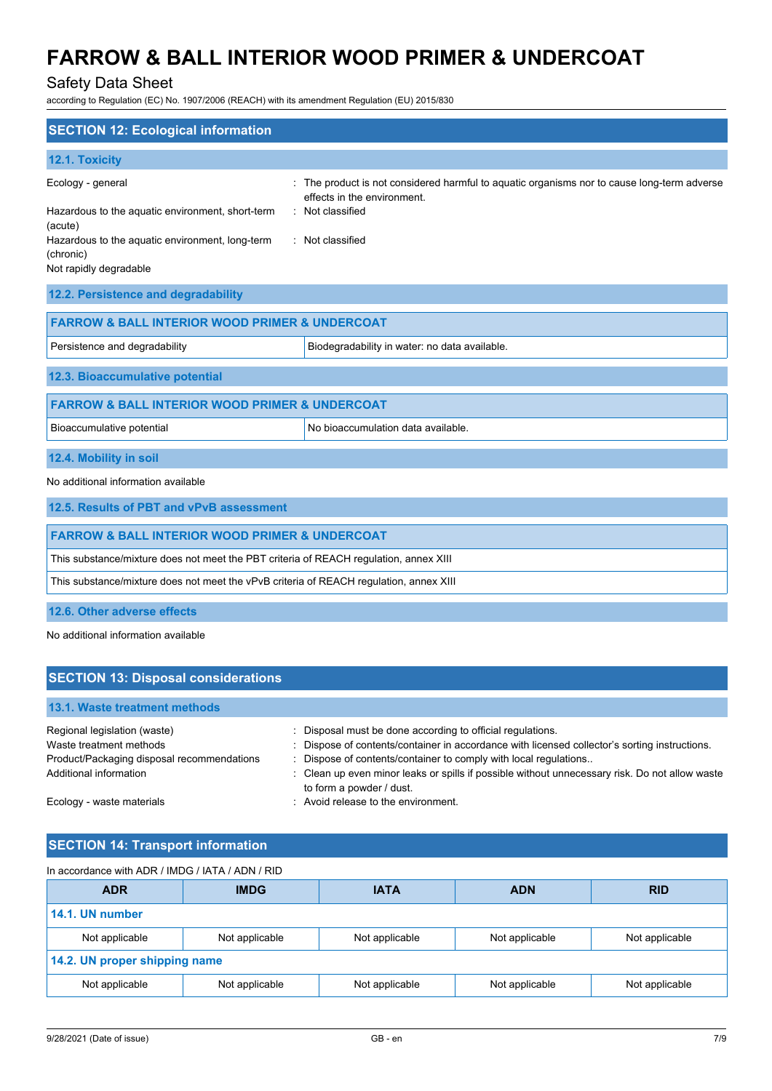# Safety Data Sheet

according to Regulation (EC) No. 1907/2006 (REACH) with its amendment Regulation (EU) 2015/830

| <b>SECTION 12: Ecological information</b>                                              |                                                                                                                          |
|----------------------------------------------------------------------------------------|--------------------------------------------------------------------------------------------------------------------------|
| 12.1. Toxicity                                                                         |                                                                                                                          |
| Ecology - general                                                                      | The product is not considered harmful to aquatic organisms nor to cause long-term adverse<br>effects in the environment. |
| Hazardous to the aquatic environment, short-term<br>(acute)                            | : Not classified                                                                                                         |
| Hazardous to the aquatic environment, long-term<br>(chronic)<br>Not rapidly degradable | : Not classified                                                                                                         |
| 12.2. Persistence and degradability                                                    |                                                                                                                          |
| <b>FARROW &amp; BALL INTERIOR WOOD PRIMER &amp; UNDERCOAT</b>                          |                                                                                                                          |
| Persistence and degradability                                                          | Biodegradability in water: no data available.                                                                            |
| 12.3. Bioaccumulative potential                                                        |                                                                                                                          |
| <b>FARROW &amp; BALL INTERIOR WOOD PRIMER &amp; UNDERCOAT</b>                          |                                                                                                                          |
| Bioaccumulative potential                                                              | No bioaccumulation data available.                                                                                       |
| 12.4. Mobility in soil                                                                 |                                                                                                                          |
| No additional information available                                                    |                                                                                                                          |
| 12.5. Results of PBT and vPvB assessment                                               |                                                                                                                          |
| <b>FARROW &amp; BALL INTERIOR WOOD PRIMER &amp; UNDERCOAT</b>                          |                                                                                                                          |
| This substance/mixture does not meet the PBT criteria of REACH regulation, annex XIII  |                                                                                                                          |
| This substance/mixture does not meet the vPvB criteria of REACH regulation, annex XIII |                                                                                                                          |
| 12.6. Other adverse effects                                                            |                                                                                                                          |

| No additional information available |  |
|-------------------------------------|--|
|                                     |  |

| <b>SECTION 13: Disposal considerations</b> |                                                                                                                            |  |  |
|--------------------------------------------|----------------------------------------------------------------------------------------------------------------------------|--|--|
| 13.1. Waste treatment methods              |                                                                                                                            |  |  |
| Regional legislation (waste)               | Disposal must be done according to official regulations.                                                                   |  |  |
| Waste treatment methods                    | : Dispose of contents/container in accordance with licensed collector's sorting instructions.                              |  |  |
| Product/Packaging disposal recommendations | Dispose of contents/container to comply with local regulations                                                             |  |  |
| Additional information                     | : Clean up even minor leaks or spills if possible without unnecessary risk. Do not allow waste<br>to form a powder / dust. |  |  |
| Ecology - waste materials                  | : Avoid release to the environment.                                                                                        |  |  |

# **SECTION 14: Transport information**

| In accordance with ADR / IMDG / IATA / ADN / RID |                |                |                |                |
|--------------------------------------------------|----------------|----------------|----------------|----------------|
| <b>ADR</b>                                       | <b>IMDG</b>    | <b>IATA</b>    | <b>ADN</b>     | <b>RID</b>     |
| 14.1. UN number                                  |                |                |                |                |
| Not applicable                                   | Not applicable | Not applicable | Not applicable | Not applicable |
| 14.2. UN proper shipping name                    |                |                |                |                |
| Not applicable                                   | Not applicable | Not applicable | Not applicable | Not applicable |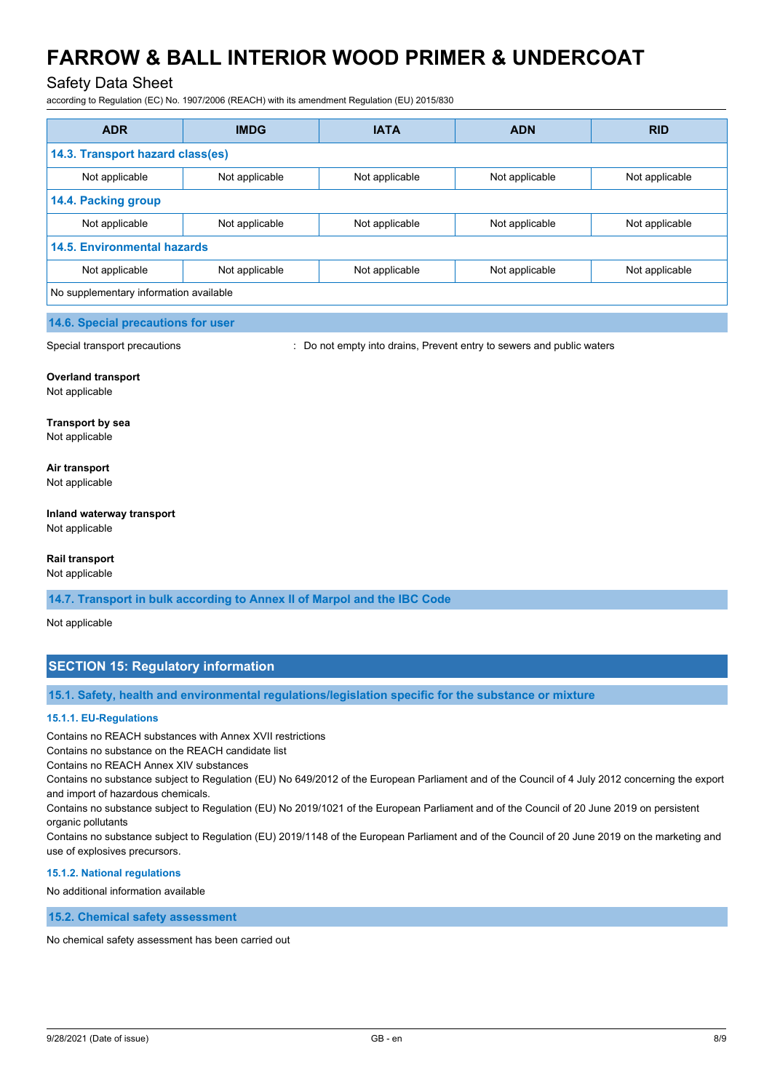### Safety Data Sheet

according to Regulation (EC) No. 1907/2006 (REACH) with its amendment Regulation (EU) 2015/830

| <b>ADR</b>                             | <b>IMDG</b>    | <b>IATA</b>    | <b>ADN</b>     | <b>RID</b>     |
|----------------------------------------|----------------|----------------|----------------|----------------|
| 14.3. Transport hazard class(es)       |                |                |                |                |
| Not applicable                         | Not applicable | Not applicable | Not applicable | Not applicable |
| 14.4. Packing group                    |                |                |                |                |
| Not applicable                         | Not applicable | Not applicable | Not applicable | Not applicable |
| <b>14.5. Environmental hazards</b>     |                |                |                |                |
| Not applicable                         | Not applicable | Not applicable | Not applicable | Not applicable |
| No supplementary information available |                |                |                |                |

#### **14.6. Special precautions for user**

Special transport precautions **interest and provident** : Do not empty into drains, Prevent entry to sewers and public waters

#### **Overland transport**

Not applicable

#### **Transport by sea** Not applicable

#### **Air transport** Not applicable

# **Inland waterway transport**

Not applicable

#### **Rail transport**

Not applicable

**14.7. Transport in bulk according to Annex II of Marpol and the IBC Code**

Not applicable

# **SECTION 15: Regulatory information**

**15.1. Safety, health and environmental regulations/legislation specific for the substance or mixture**

#### **15.1.1. EU-Regulations**

Contains no REACH substances with Annex XVII restrictions

Contains no substance on the REACH candidate list

Contains no REACH Annex XIV substances

Contains no substance subject to Regulation (EU) No 649/2012 of the European Parliament and of the Council of 4 July 2012 concerning the export and import of hazardous chemicals.

Contains no substance subject to Regulation (EU) No 2019/1021 of the European Parliament and of the Council of 20 June 2019 on persistent organic pollutants

Contains no substance subject to Regulation (EU) 2019/1148 of the European Parliament and of the Council of 20 June 2019 on the marketing and use of explosives precursors.

#### **15.1.2. National regulations**

No additional information available

**15.2. Chemical safety assessment**

No chemical safety assessment has been carried out